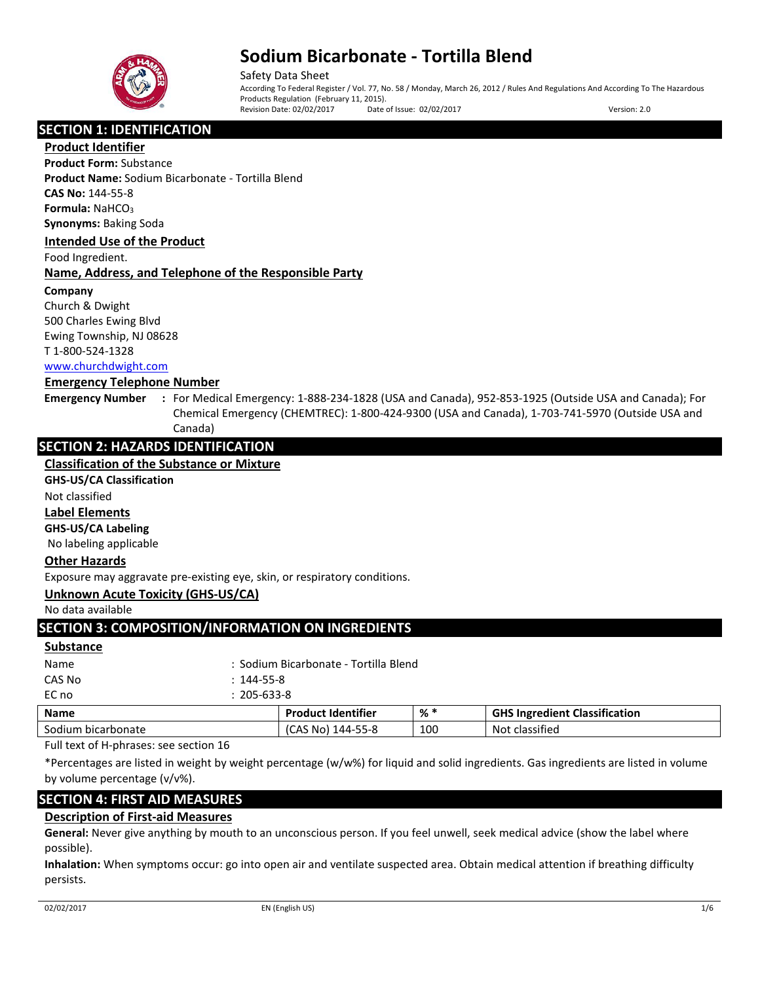

Safety Data Sheet According To Federal Register / Vol. 77, No. 58 / Monday, March 26, 2012 / Rules And Regulations And According To The Hazardous Products Regulation (February 11, 2015). Revision Date: 02/02/2017 Date of Issue: 02/02/2017 Version: 2.0

# **SECTION 1: IDENTIFICATION**

**Product Identifier**

**Product Form:** Substance **Product Name:** Sodium Bicarbonate - Tortilla Blend **CAS No:** 144-55-8 **Formula: NaHCO<sub>3</sub> Synonyms:** Baking Soda

### **Intended Use of the Product**

Food Ingredient.

## **Name, Address, and Telephone of the Responsible Party**

### **Company**

Church & Dwight 500 Charles Ewing Blvd Ewing Township, NJ 08628 T 1-800-524-1328 [www.churchdwight.com](http://www.churchdwight.com/)

### **Emergency Telephone Number**

**Emergency Number :** For Medical Emergency: 1-888-234-1828 (USA and Canada), 952-853-1925 (Outside USA and Canada); For Chemical Emergency (CHEMTREC): 1-800-424-9300 (USA and Canada), 1-703-741-5970 (Outside USA and Canada)

# **SECTION 2: HAZARDS IDENTIFICATION**

## **Classification of the Substance or Mixture**

**GHS-US/CA Classification**

Not classified

## **Label Elements**

**GHS-US/CA Labeling**

No labeling applicable

## **Other Hazards**

Exposure may aggravate pre-existing eye, skin, or respiratory conditions.

## **Unknown Acute Toxicity (GHS-US/CA)**

No data available

# **SECTION 3: COMPOSITION/INFORMATION ON INGREDIENTS**

#### **Substance**

| Nomes. |                   | Dundicat Idnutifies                   | $0/$ * | $C11C1 = 24$ |
|--------|-------------------|---------------------------------------|--------|--------------|
| EC no  | $: 205 - 633 - 8$ |                                       |        |              |
| CAS No | $: 144 - 55 - 8$  |                                       |        |              |
| Name   |                   | : Sodium Bicarbonate - Tortilla Blend |        |              |
|        |                   |                                       |        |              |

| <b>Name</b>                             | <b>Product Identifier</b>  | % * | <b>i Ingredient Classification</b><br><b>GHS</b> |
|-----------------------------------------|----------------------------|-----|--------------------------------------------------|
| Sodium bicarbonate                      | 144-55-8<br>، مم<br>AS No' | 100 | <b>Not</b><br>classified                         |
| - -<br>$\sim$ $\sim$ $\sim$ $\sim$<br>. |                            |     |                                                  |

Full text of H-phrases: see section 16

\*Percentages are listed in weight by weight percentage (w/w%) for liquid and solid ingredients. Gas ingredients are listed in volume by volume percentage (v/v%).

# **SECTION 4: FIRST AID MEASURES**

# **Description of First-aid Measures**

**General:** Never give anything by mouth to an unconscious person. If you feel unwell, seek medical advice (show the label where possible).

**Inhalation:** When symptoms occur: go into open air and ventilate suspected area. Obtain medical attention if breathing difficulty persists.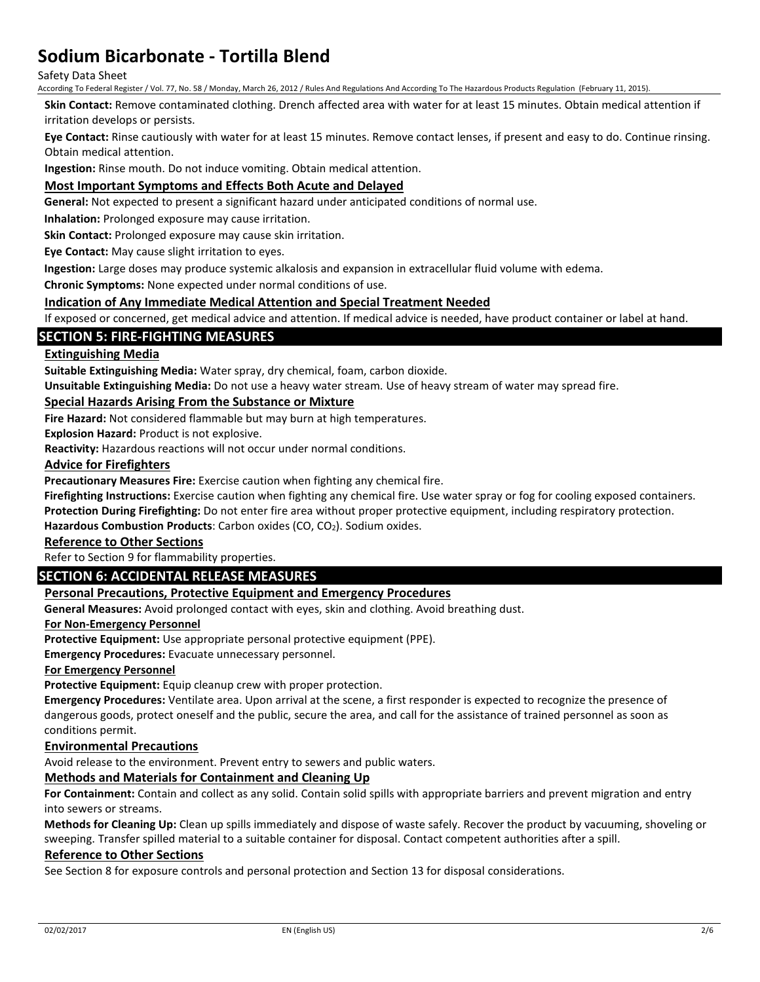### Safety Data Sheet

According To Federal Register / Vol. 77, No. 58 / Monday, March 26, 2012 / Rules And Regulations And According To The Hazardous Products Regulation (February 11, 2015).

**Skin Contact:** Remove contaminated clothing. Drench affected area with water for at least 15 minutes. Obtain medical attention if irritation develops or persists.

**Eye Contact:** Rinse cautiously with water for at least 15 minutes. Remove contact lenses, if present and easy to do. Continue rinsing. Obtain medical attention.

**Ingestion:** Rinse mouth. Do not induce vomiting. Obtain medical attention.

## **Most Important Symptoms and Effects Both Acute and Delayed**

**General:** Not expected to present a significant hazard under anticipated conditions of normal use.

**Inhalation:** Prolonged exposure may cause irritation.

**Skin Contact:** Prolonged exposure may cause skin irritation.

**Eye Contact:** May cause slight irritation to eyes.

**Ingestion:** Large doses may produce systemic alkalosis and expansion in extracellular fluid volume with edema.

**Chronic Symptoms:** None expected under normal conditions of use.

### **Indication of Any Immediate Medical Attention and Special Treatment Needed**

If exposed or concerned, get medical advice and attention. If medical advice is needed, have product container or label at hand.

## **SECTION 5: FIRE-FIGHTING MEASURES**

## **Extinguishing Media**

**Suitable Extinguishing Media:** Water spray, dry chemical, foam, carbon dioxide.

**Unsuitable Extinguishing Media:** Do not use a heavy water stream. Use of heavy stream of water may spread fire.

## **Special Hazards Arising From the Substance or Mixture**

**Fire Hazard:** Not considered flammable but may burn at high temperatures.

**Explosion Hazard:** Product is not explosive.

**Reactivity:** Hazardous reactions will not occur under normal conditions.

### **Advice for Firefighters**

**Precautionary Measures Fire:** Exercise caution when fighting any chemical fire.

**Firefighting Instructions:** Exercise caution when fighting any chemical fire. Use water spray or fog for cooling exposed containers.

**Protection During Firefighting:** Do not enter fire area without proper protective equipment, including respiratory protection.

Hazardous Combustion Products: Carbon oxides (CO, CO<sub>2</sub>). Sodium oxides.

# **Reference to Other Sections**

Refer to Section 9 for flammability properties.

# **SECTION 6: ACCIDENTAL RELEASE MEASURES**

## **Personal Precautions, Protective Equipment and Emergency Procedures**

**General Measures:** Avoid prolonged contact with eyes, skin and clothing. Avoid breathing dust.

### **For Non-Emergency Personnel**

**Protective Equipment:** Use appropriate personal protective equipment (PPE).

**Emergency Procedures:** Evacuate unnecessary personnel.

### **For Emergency Personnel**

**Protective Equipment:** Equip cleanup crew with proper protection.

**Emergency Procedures:** Ventilate area. Upon arrival at the scene, a first responder is expected to recognize the presence of dangerous goods, protect oneself and the public, secure the area, and call for the assistance of trained personnel as soon as conditions permit.

### **Environmental Precautions**

Avoid release to the environment. Prevent entry to sewers and public waters.

# **Methods and Materials for Containment and Cleaning Up**

**For Containment:** Contain and collect as any solid. Contain solid spills with appropriate barriers and prevent migration and entry into sewers or streams.

**Methods for Cleaning Up:** Clean up spills immediately and dispose of waste safely. Recover the product by vacuuming, shoveling or sweeping. Transfer spilled material to a suitable container for disposal. Contact competent authorities after a spill.

### **Reference to Other Sections**

See Section 8 for exposure controls and personal protection and Section 13 for disposal considerations.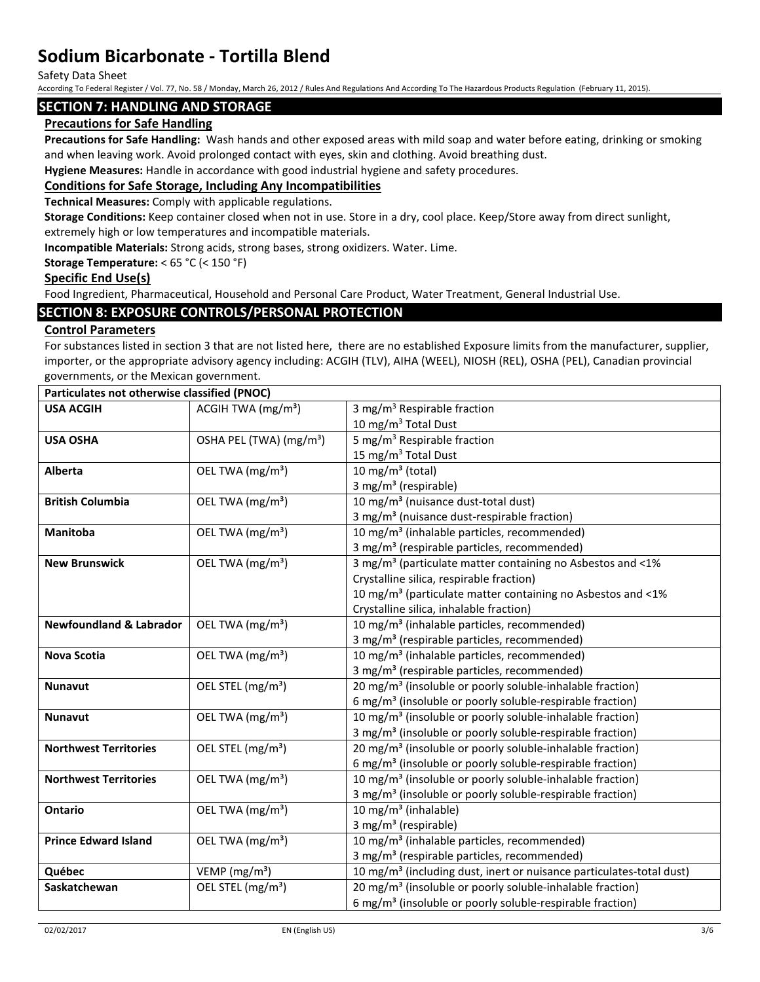Safety Data Sheet

According To Federal Register / Vol. 77, No. 58 / Monday, March 26, 2012 / Rules And Regulations And According To The Hazardous Products Regulation (February 11, 2015).

## **SECTION 7: HANDLING AND STORAGE**

## **Precautions for Safe Handling**

**Precautions for Safe Handling:** Wash hands and other exposed areas with mild soap and water before eating, drinking or smoking and when leaving work. Avoid prolonged contact with eyes, skin and clothing. Avoid breathing dust.

**Hygiene Measures:** Handle in accordance with good industrial hygiene and safety procedures.

## **Conditions for Safe Storage, Including Any Incompatibilities**

**Technical Measures:** Comply with applicable regulations.

**Storage Conditions:** Keep container closed when not in use. Store in a dry, cool place. Keep/Store away from direct sunlight, extremely high or low temperatures and incompatible materials.

**Incompatible Materials:** Strong acids, strong bases, strong oxidizers. Water. Lime.

### **Storage Temperature:** < 65 °C (< 150 °F)

### **Specific End Use(s)**

Food Ingredient, Pharmaceutical, Household and Personal Care Product, Water Treatment, General Industrial Use.

## **SECTION 8: EXPOSURE CONTROLS/PERSONAL PROTECTION**

## **Control Parameters**

For substances listed in section 3 that are not listed here, there are no established Exposure limits from the manufacturer, supplier, importer, or the appropriate advisory agency including: ACGIH (TLV), AIHA (WEEL), NIOSH (REL), OSHA (PEL), Canadian provincial governments, or the Mexican government.

| Particulates not otherwise classified (PNOC) |                                             |                                                                                  |
|----------------------------------------------|---------------------------------------------|----------------------------------------------------------------------------------|
| <b>USA ACGIH</b>                             | ACGIH TWA $(mg/m3)$                         | 3 mg/m <sup>3</sup> Respirable fraction                                          |
|                                              |                                             | 10 mg/m $3$ Total Dust                                                           |
| <b>USA OSHA</b>                              | OSHA PEL (TWA) (mg/m <sup>3</sup> )         | 5 mg/m <sup>3</sup> Respirable fraction                                          |
|                                              |                                             | 15 mg/m <sup>3</sup> Total Dust                                                  |
| <b>Alberta</b>                               | OEL TWA (mg/m <sup>3</sup> )                | 10 mg/m $3$ (total)                                                              |
|                                              |                                             | 3 mg/m <sup>3</sup> (respirable)                                                 |
| <b>British Columbia</b>                      | OEL TWA (mg/m <sup>3</sup> )                | 10 mg/m <sup>3</sup> (nuisance dust-total dust)                                  |
|                                              |                                             | 3 mg/m <sup>3</sup> (nuisance dust-respirable fraction)                          |
| Manitoba                                     | OEL TWA (mg/m <sup>3</sup> )                | 10 mg/m <sup>3</sup> (inhalable particles, recommended)                          |
|                                              |                                             | 3 mg/m <sup>3</sup> (respirable particles, recommended)                          |
| <b>New Brunswick</b>                         | OEL TWA (mg/m <sup>3</sup> )                | 3 mg/m <sup>3</sup> (particulate matter containing no Asbestos and <1%           |
|                                              |                                             | Crystalline silica, respirable fraction)                                         |
|                                              |                                             | 10 mg/m <sup>3</sup> (particulate matter containing no Asbestos and <1%          |
|                                              |                                             | Crystalline silica, inhalable fraction)                                          |
| <b>Newfoundland &amp; Labrador</b>           | OEL TWA (mg/m <sup>3</sup> )                | 10 mg/m <sup>3</sup> (inhalable particles, recommended)                          |
|                                              |                                             | 3 mg/m <sup>3</sup> (respirable particles, recommended)                          |
| Nova Scotia                                  | OEL TWA (mg/m <sup>3</sup> )                | 10 mg/m <sup>3</sup> (inhalable particles, recommended)                          |
|                                              |                                             | 3 mg/m <sup>3</sup> (respirable particles, recommended)                          |
| <b>Nunavut</b>                               | OEL STEL (mg/m <sup>3</sup> )               | 20 mg/m <sup>3</sup> (insoluble or poorly soluble-inhalable fraction)            |
|                                              |                                             | 6 mg/m <sup>3</sup> (insoluble or poorly soluble-respirable fraction)            |
| <b>Nunavut</b>                               | OEL TWA (mg/m <sup>3</sup> )                | 10 mg/m <sup>3</sup> (insoluble or poorly soluble-inhalable fraction)            |
|                                              |                                             | 3 mg/m <sup>3</sup> (insoluble or poorly soluble-respirable fraction)            |
| <b>Northwest Territories</b>                 | OEL STEL (mg/m <sup>3</sup> )               | 20 mg/m <sup>3</sup> (insoluble or poorly soluble-inhalable fraction)            |
|                                              |                                             | 6 mg/m <sup>3</sup> (insoluble or poorly soluble-respirable fraction)            |
| <b>Northwest Territories</b>                 | OEL TWA (mg/m <sup>3</sup> )                | 10 mg/m <sup>3</sup> (insoluble or poorly soluble-inhalable fraction)            |
|                                              |                                             | 3 mg/m <sup>3</sup> (insoluble or poorly soluble-respirable fraction)            |
| <b>Ontario</b>                               | OEL TWA (mg/m <sup>3</sup> )                | 10 mg/m <sup>3</sup> (inhalable)                                                 |
|                                              |                                             | 3 mg/m <sup>3</sup> (respirable)                                                 |
| <b>Prince Edward Island</b>                  | OEL TWA (mg/m <sup>3</sup> )                | 10 mg/m <sup>3</sup> (inhalable particles, recommended)                          |
|                                              |                                             | 3 mg/m <sup>3</sup> (respirable particles, recommended)                          |
| Québec                                       | VEMP ( $mg/m3$ )                            | 10 mg/m <sup>3</sup> (including dust, inert or nuisance particulates-total dust) |
| Saskatchewan                                 | $\overline{OE}$ L STEL (mg/m <sup>3</sup> ) | 20 mg/m <sup>3</sup> (insoluble or poorly soluble-inhalable fraction)            |
|                                              |                                             | 6 mg/m <sup>3</sup> (insoluble or poorly soluble-respirable fraction)            |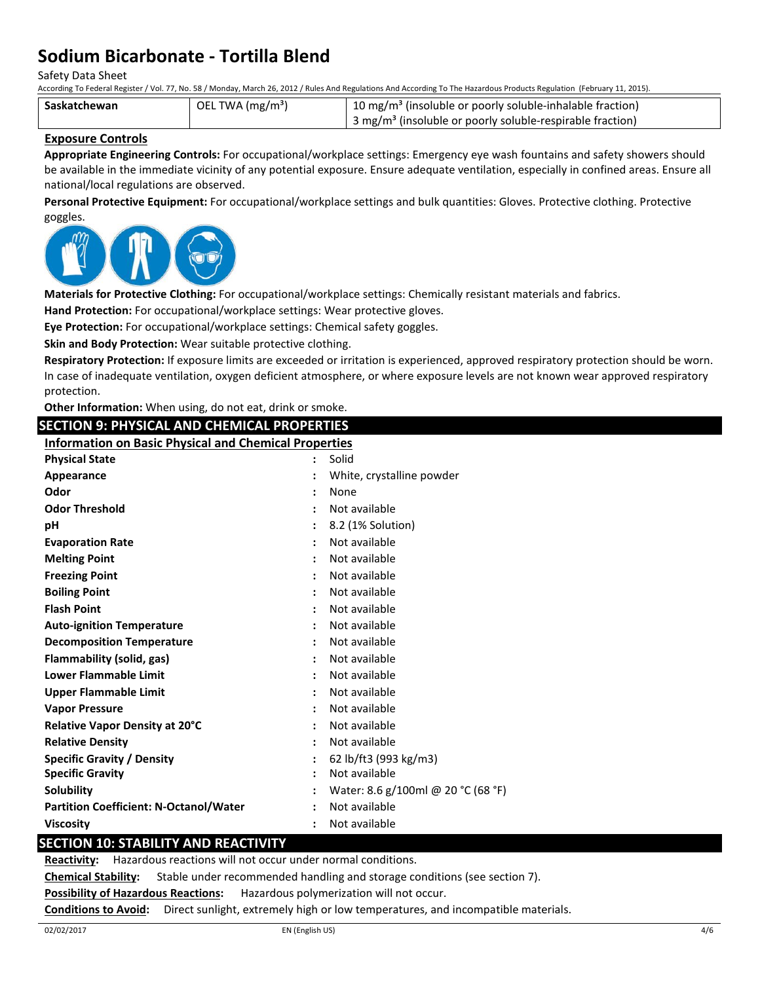Safety Data Sheet

According To Federal Register / Vol. 77, No. 58 / Monday, March 26, 2012 / Rules And Regulations And According To The Hazardous Products Regulation (February 11, 2015).

| Saskatchewan | OEL TWA (mg/m <sup>3</sup> ) | <sup>1</sup> 10 mg/m <sup>3</sup> (insoluble or poorly soluble-inhalable fraction) |
|--------------|------------------------------|------------------------------------------------------------------------------------|
|              |                              | 3 mg/m <sup>3</sup> (insoluble or poorly soluble-respirable fraction)              |

### **Exposure Controls**

**Appropriate Engineering Controls:** For occupational/workplace settings: Emergency eye wash fountains and safety showers should be available in the immediate vicinity of any potential exposure. Ensure adequate ventilation, especially in confined areas. Ensure all national/local regulations are observed.

**Personal Protective Equipment:** For occupational/workplace settings and bulk quantities: Gloves. Protective clothing. Protective goggles.



**Materials for Protective Clothing:** For occupational/workplace settings: Chemically resistant materials and fabrics.

**Hand Protection:** For occupational/workplace settings: Wear protective gloves.

**Eye Protection:** For occupational/workplace settings: Chemical safety goggles.

**Skin and Body Protection:** Wear suitable protective clothing.

**Respiratory Protection:** If exposure limits are exceeded or irritation is experienced, approved respiratory protection should be worn. In case of inadequate ventilation, oxygen deficient atmosphere, or where exposure levels are not known wear approved respiratory protection.

| protection.                                                  |                                    |
|--------------------------------------------------------------|------------------------------------|
| Other Information: When using, do not eat, drink or smoke.   |                                    |
| <b>SECTION 9: PHYSICAL AND CHEMICAL PROPERTIES</b>           |                                    |
| <b>Information on Basic Physical and Chemical Properties</b> |                                    |
| <b>Physical State</b>                                        | Solid                              |
| Appearance                                                   | White, crystalline powder          |
| Odor                                                         | None                               |
| <b>Odor Threshold</b>                                        | Not available                      |
| рH                                                           | 8.2 (1% Solution)                  |
| <b>Evaporation Rate</b>                                      | Not available                      |
| <b>Melting Point</b>                                         | Not available                      |
| <b>Freezing Point</b>                                        | Not available                      |
| <b>Boiling Point</b>                                         | Not available                      |
| <b>Flash Point</b>                                           | Not available                      |
| <b>Auto-ignition Temperature</b>                             | Not available                      |
| <b>Decomposition Temperature</b>                             | Not available                      |
| Flammability (solid, gas)                                    | Not available                      |
| <b>Lower Flammable Limit</b>                                 | Not available                      |
| <b>Upper Flammable Limit</b>                                 | Not available                      |
| <b>Vapor Pressure</b>                                        | Not available                      |
| Relative Vapor Density at 20°C                               | Not available                      |
| <b>Relative Density</b>                                      | Not available                      |
| <b>Specific Gravity / Density</b>                            | 62 lb/ft3 (993 kg/m3)              |
| <b>Specific Gravity</b>                                      | Not available                      |
| Solubility                                                   | Water: 8.6 g/100ml @ 20 °C (68 °F) |
| <b>Partition Coefficient: N-Octanol/Water</b>                | Not available                      |
| <b>Viscosity</b>                                             | Not available                      |
| <b>SECTION 10: STABILITY AND REACTIVITY</b>                  |                                    |

**Reactivity:** Hazardous reactions will not occur under normal conditions.

**Chemical Stability:** Stable under recommended handling and storage conditions (see section 7).

**Possibility of Hazardous Reactions:** Hazardous polymerization will not occur.

**Conditions to Avoid:** Direct sunlight, extremely high or low temperatures, and incompatible materials.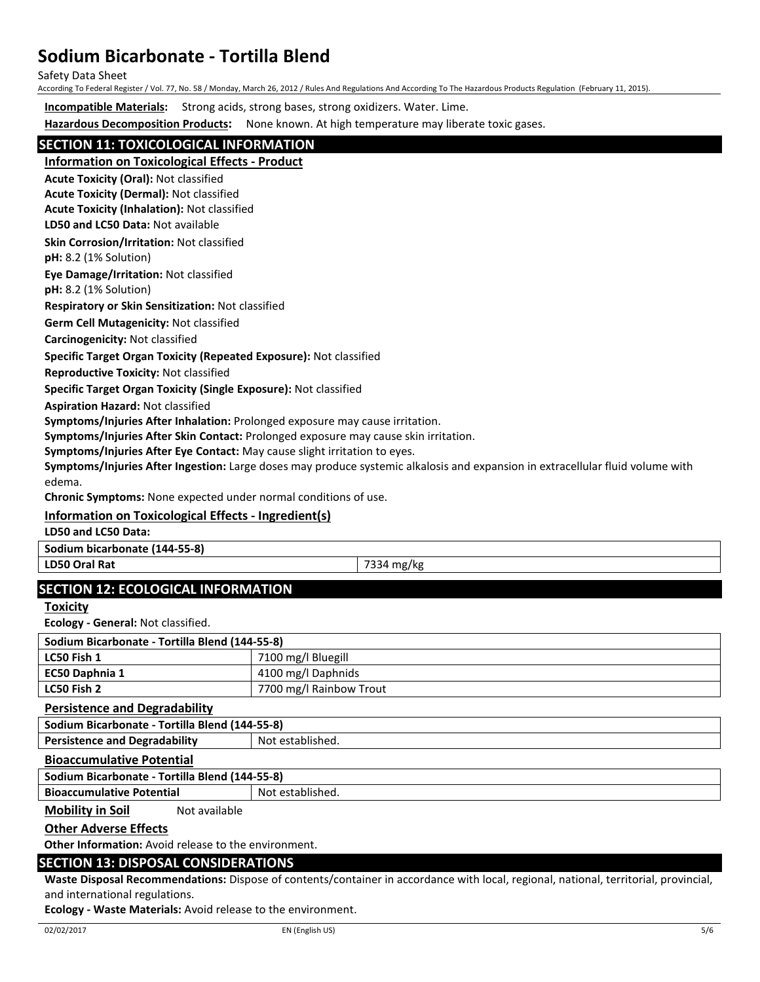Safety Data Sheet

According To Federal Register / Vol. 77, No. 58 / Monday, March 26, 2012 / Rules And Regulations And According To The Hazardous Products Regulation (February 11, 2015).

**Incompatible Materials:** Strong acids, strong bases, strong oxidizers. Water. Lime.

**Hazardous Decomposition Products:** None known. At high temperature may liberate toxic gases.

# **SECTION 11: TOXICOLOGICAL INFORMATION**

**Information on Toxicological Effects - Product**

**Acute Toxicity (Oral):** Not classified

**Acute Toxicity (Dermal):** Not classified **Acute Toxicity (Inhalation):** Not classified

**LD50 and LC50 Data:** Not available

**Skin Corrosion/Irritation:** Not classified

**pH:** 8.2 (1% Solution)

**Eye Damage/Irritation:** Not classified

**pH:** 8.2 (1% Solution)

**Respiratory or Skin Sensitization:** Not classified

**Germ Cell Mutagenicity:** Not classified

**Carcinogenicity:** Not classified

### **Specific Target Organ Toxicity (Repeated Exposure):** Not classified

**Reproductive Toxicity:** Not classified

**Specific Target Organ Toxicity (Single Exposure):** Not classified

**Aspiration Hazard:** Not classified

**Symptoms/Injuries After Inhalation:** Prolonged exposure may cause irritation.

**Symptoms/Injuries After Skin Contact:** Prolonged exposure may cause skin irritation.

**Symptoms/Injuries After Eye Contact:** May cause slight irritation to eyes.

**Symptoms/Injuries After Ingestion:** Large doses may produce systemic alkalosis and expansion in extracellular fluid volume with edema.

**Chronic Symptoms:** None expected under normal conditions of use.

# **Information on Toxicological Effects - Ingredient(s)**

**LD50 and LC50 Data:**

**Sodium bicarbonate (144-55-8)**

**LD50 Oral Rat** 7334 mg/kg

# **SECTION 12: ECOLOGICAL INFORMATION**

**Toxicity**

**Ecology - General:** Not classified.

| Sodium Bicarbonate - Tortilla Blend (144-55-8) |                         |  |  |
|------------------------------------------------|-------------------------|--|--|
| LC50 Fish 1                                    | 7100 mg/l Bluegill      |  |  |
| EC50 Daphnia 1                                 | 4100 mg/l Daphnids      |  |  |
| LC50 Fish 2                                    | 7700 mg/l Rainbow Trout |  |  |

### **Persistence and Degradability**

**Sodium Bicarbonate - Tortilla Blend (144-55-8) Persistence and Degradability | Not established.** 

### **Bioaccumulative Potential**

**Sodium Bicarbonate - Tortilla Blend (144-55-8)**

**Bioaccumulative Potential** Not established.

**Mobility in Soil** Not available

## **Other Adverse Effects**

**Other Information:** Avoid release to the environment.

## **SECTION 13: DISPOSAL CONSIDERATIONS**

**Waste Disposal Recommendations:** Dispose of contents/container in accordance with local, regional, national, territorial, provincial, and international regulations.

**Ecology - Waste Materials:** Avoid release to the environment.